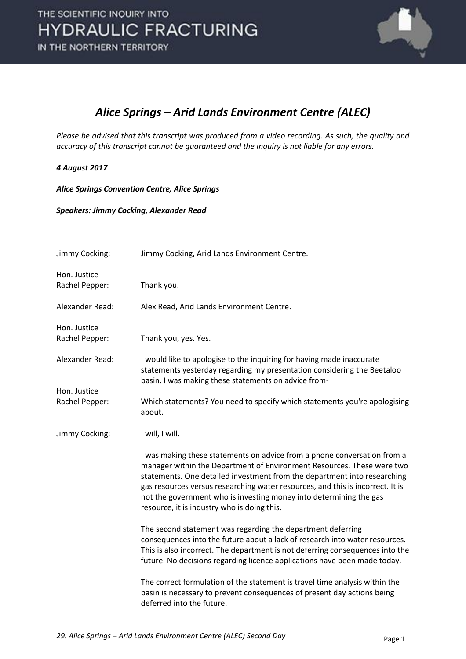

## *Alice Springs – Arid Lands Environment Centre (ALEC)*

*Please be advised that this transcript was produced from a video recording. As such, the quality and accuracy of this transcript cannot be guaranteed and the Inquiry is not liable for any errors.*

## *4 August 2017*

*Alice Springs Convention Centre, Alice Springs*

*Speakers: Jimmy Cocking, Alexander Read*

| Jimmy Cocking:                 | Jimmy Cocking, Arid Lands Environment Centre.                                                                                                                                                                                                                                                                                                                                                                                         |
|--------------------------------|---------------------------------------------------------------------------------------------------------------------------------------------------------------------------------------------------------------------------------------------------------------------------------------------------------------------------------------------------------------------------------------------------------------------------------------|
| Hon. Justice<br>Rachel Pepper: | Thank you.                                                                                                                                                                                                                                                                                                                                                                                                                            |
| Alexander Read:                | Alex Read, Arid Lands Environment Centre.                                                                                                                                                                                                                                                                                                                                                                                             |
| Hon. Justice<br>Rachel Pepper: | Thank you, yes. Yes.                                                                                                                                                                                                                                                                                                                                                                                                                  |
| Alexander Read:                | I would like to apologise to the inquiring for having made inaccurate<br>statements yesterday regarding my presentation considering the Beetaloo<br>basin. I was making these statements on advice from-                                                                                                                                                                                                                              |
| Hon. Justice<br>Rachel Pepper: | Which statements? You need to specify which statements you're apologising<br>about.                                                                                                                                                                                                                                                                                                                                                   |
| Jimmy Cocking:                 | I will, I will.                                                                                                                                                                                                                                                                                                                                                                                                                       |
|                                | I was making these statements on advice from a phone conversation from a<br>manager within the Department of Environment Resources. These were two<br>statements. One detailed investment from the department into researching<br>gas resources versus researching water resources, and this is incorrect. It is<br>not the government who is investing money into determining the gas<br>resource, it is industry who is doing this. |
|                                | The second statement was regarding the department deferring<br>consequences into the future about a lack of research into water resources.<br>This is also incorrect. The department is not deferring consequences into the<br>future. No decisions regarding licence applications have been made today.                                                                                                                              |
|                                | The correct formulation of the statement is travel time analysis within the<br>basin is necessary to prevent consequences of present day actions being<br>deferred into the future.                                                                                                                                                                                                                                                   |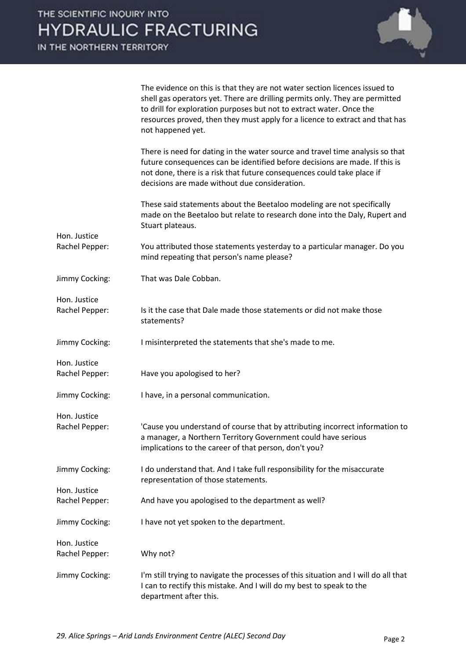IN THE NORTHERN TERRITORY

Hon. Justice

Hon. Justice

Hon. Justice

Hon. Justice



The evidence on this is that they are not water section licences issued to shell gas operators yet. There are drilling permits only. They are permitted to drill for exploration purposes but not to extract water. Once the resources proved, then they must apply for a licence to extract and that has not happened yet.

There is need for dating in the water source and travel time analysis so that future consequences can be identified before decisions are made. If this is not done, there is a risk that future consequences could take place if decisions are made without due consideration.

These said statements about the Beetaloo modeling are not specifically made on the Beetaloo but relate to research done into the Daly, Rupert and Stuart plateaus.

- Rachel Pepper: You attributed those statements yesterday to a particular manager. Do you mind repeating that person's name please?
- Jimmy Cocking: That was Dale Cobban.
- Rachel Pepper: Is it the case that Dale made those statements or did not make those statements?
- Jimmy Cocking: I misinterpreted the statements that she's made to me.
- Rachel Pepper: Have you apologised to her?
- Jimmy Cocking: I have, in a personal communication.
- Hon. Justice Rachel Pepper: 'Cause you understand of course that by attributing incorrect information to a manager, a Northern Territory Government could have serious implications to the career of that person, don't you?
- Jimmy Cocking: I do understand that. And I take full responsibility for the misaccurate representation of those statements.
- Rachel Pepper: And have you apologised to the department as well?
- Jimmy Cocking: I have not yet spoken to the department.
- Hon. Justice Rachel Pepper: Why not?
- Jimmy Cocking: I'm still trying to navigate the processes of this situation and I will do all that I can to rectify this mistake. And I will do my best to speak to the department after this.